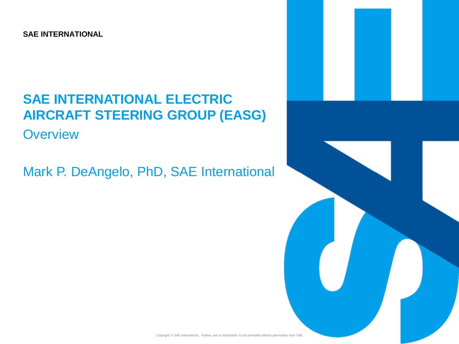**SAE INTERNATIONAL**

# **SAE INTERNATIONAL ELECTRIC AIRCRAFT STEERING GROUP (EASG)**

**Overview** 

Mark P. DeAngelo, PhD, SAE International

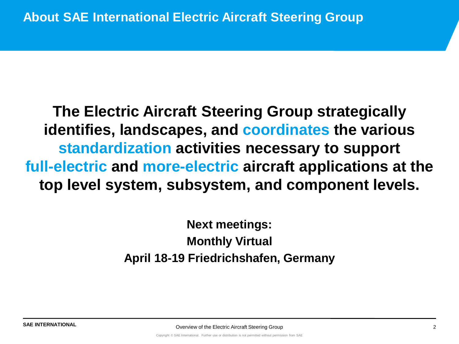**The Electric Aircraft Steering Group strategically identifies, landscapes, and coordinates the various standardization activities necessary to support full-electric and more-electric aircraft applications at the top level system, subsystem, and component levels.**

> **Next meetings: Monthly Virtual April 18-19 Friedrichshafen, Germany**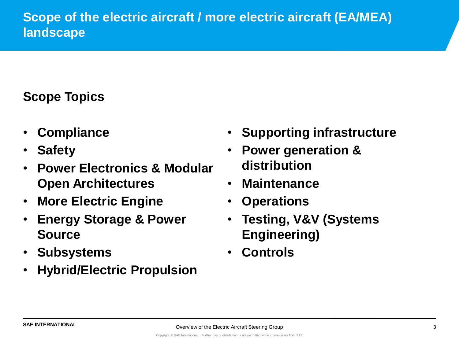### **Scope Topics**

- **Compliance**
- **Safety**
- **Power Electronics & Modular Open Architectures**
- **More Electric Engine**
- **Energy Storage & Power Source**
- **Subsystems**
- **Hybrid/Electric Propulsion**
- **Supporting infrastructure**
- **Power generation & distribution**
- **Maintenance**
- **Operations**
- **Testing, V&V (Systems Engineering)**
- **Controls**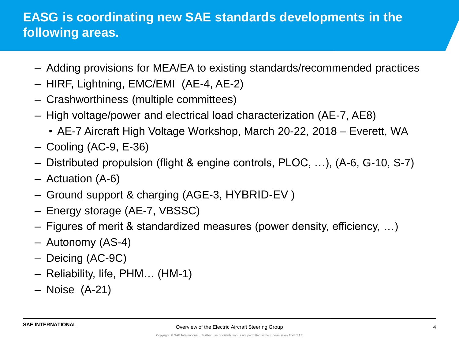### **EASG is coordinating new SAE standards developments in the following areas.**

- Adding provisions for MEA/EA to existing standards/recommended practices
- HIRF, Lightning, EMC/EMI (AE-4, AE-2)
- Crashworthiness (multiple committees)
- High voltage/power and electrical load characterization (AE-7, AE8)
	- AE-7 Aircraft High Voltage Workshop, March 20-22, 2018 Everett, WA
- Cooling (AC-9, E-36)
- Distributed propulsion (flight & engine controls, PLOC, …), (A-6, G-10, S-7)
- Actuation (A-6)
- Ground support & charging (AGE-3, HYBRID-EV )
- Energy storage (AE-7, VBSSC)
- Figures of merit & standardized measures (power density, efficiency, …)
- Autonomy (AS-4)
- Deicing (AC-9C)
- Reliability, life, PHM… (HM-1)
- Noise (A-21)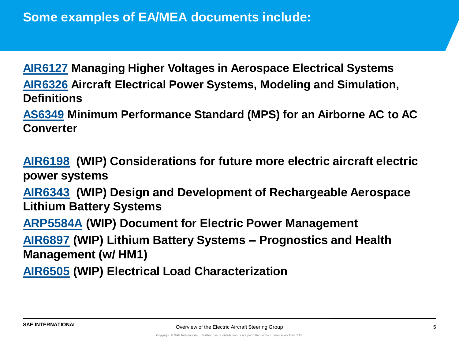**[AIR6127](http://standards.sae.org/air6127/) Managing Higher Voltages in Aerospace Electrical Systems [AIR6326](http://standards.sae.org/air6326/) Aircraft Electrical Power Systems, Modeling and Simulation, Definitions**

**[AS6349](http://standards.sae.org/as6349/) Minimum Performance Standard (MPS) for an Airborne AC to AC Converter**

**[AIR6198](https://www.sae.org/servlets/works/documentHome.do?docID=AIR6198&inputPage=wIpSdOcDeTaIlS&comtID=TEAAE7C) (WIP) Considerations for future more electric aircraft electric power systems [AIR6343](http://www.sae.org/servlets/works/documentHome.do?docID=AIR6343&inputPage=wIpSdOcDeTaIlS&comtID=TEAAE7B) (WIP) Design and Development of Rechargeable Aerospace Lithium Battery Systems [ARP5584A](https://www.sae.org/servlets/works/documentHome.do?docID=ARP5584A&inputPage=wIpSdOcDeTaIlS&comtID=TEAAE7B) (WIP) Document for Electric Power Management [AIR6897](https://www.sae.org/servlets/works/documentHome.do?docID=AIR6897&inputPage=wIpSdOcDeTaIlS&comtID=TEAAE7B) (WIP) Lithium Battery Systems – Prognostics and Health Management (w/ HM1) [AIR6505](http://www.sae.org/servlets/works/documentHome.do?docID=AIR6505&inputPage=wIpSdOcDeTaIlS&comtID=TEAAE7A) (WIP) Electrical Load Characterization**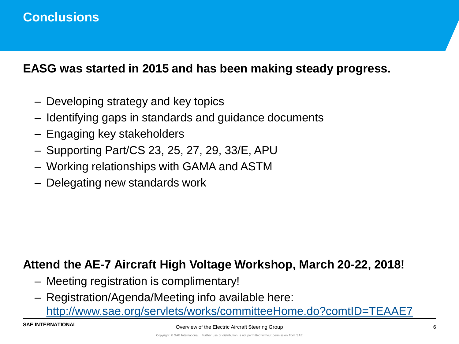### **Conclusions**

#### **EASG was started in 2015 and has been making steady progress.**

- Developing strategy and key topics
- Identifying gaps in standards and guidance documents
- Engaging key stakeholders
- Supporting Part/CS 23, 25, 27, 29, 33/E, APU
- Working relationships with GAMA and ASTM
- Delegating new standards work

#### **Attend the AE-7 Aircraft High Voltage Workshop, March 20-22, 2018!**

- Meeting registration is complimentary!
- Registration/Agenda/Meeting info available here:

<http://www.sae.org/servlets/works/committeeHome.do?comtID=TEAAE7>